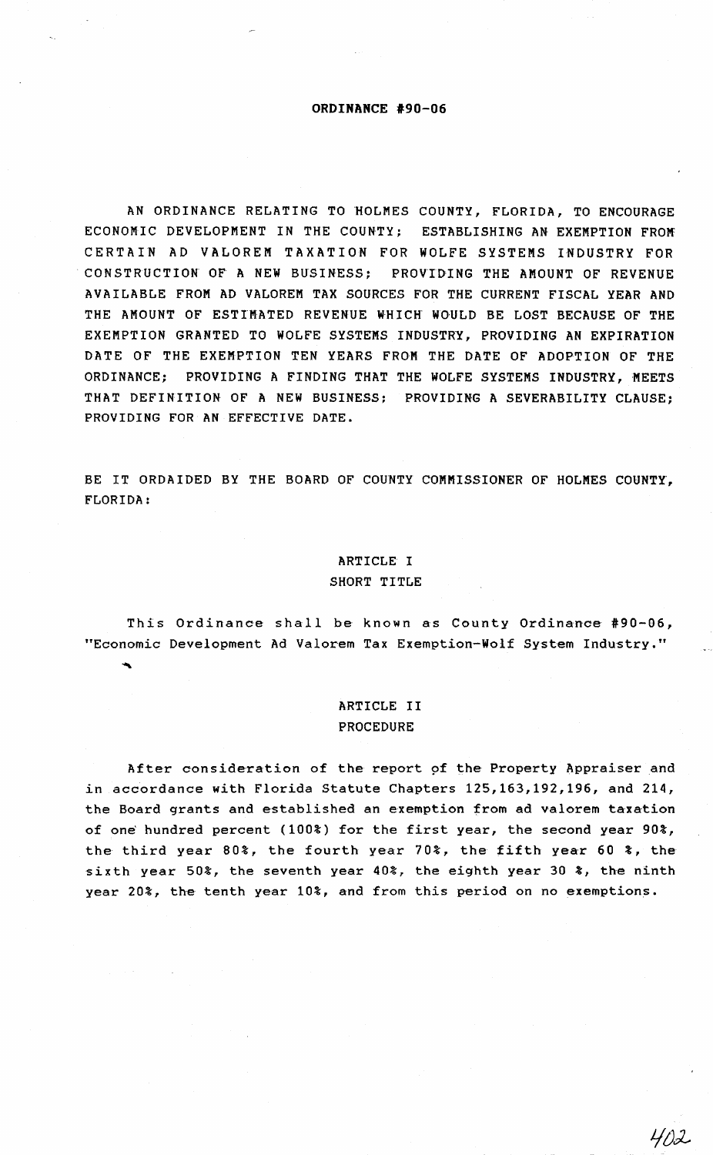#### **ORDINANCE #90-06**

AN ORDINANCE RELATING TO HOLMES COUNTY, FLORIDA, TO ENCOURAGE ECONOMIC DEVELOPMENT IN THE COUNTY; CERTAIN AD VALOREM TAXATION FOR WOLFE SYSTEMS INDUSTRY FOR ESTABLISHING AN EXEMPTION FROM CONSTRUCTION OF A NEW BUSINESS; PROVIDING THE AMOUNT OF REVENUE AVAILABLE FROM AD VALOREM TAX SOURCES FOR THE CURRENT FISCAL YEAR AND THE AMOUNT OF ESTIMATED REVENUE WHICH WOULD BE LOST BECAUSE OF THE EXEMPTION GRANTED TO WOLFE SYSTEMS INDUSTRY, PROVIDING AN EXPIRATION DATE OF THE EXEMPTION TEN YEARS FROM THE DATE OF ADOPTION OF THE ORDINANCE; PROVIDING A FINDING THAT THE WOLFE SYSTEMS INDUSTRY, MEETS THAT DEFINITION OF A NEW BUSINESS; PROVIDING A SEVERABILITY CLAUSE; PROVIDING FOR AN EFFECTIVE DATE.

BE IT ORDAIDED BY THE BOARD OF COUNTY COMMISSIONER OF HOLMES COUNTY, FLORIDA:

#### ARTICLE I

#### SHORT TITLE

This Ordinance shall be known as County Ordinance #90-06, "Economic Development Ad Valorem Tax Exemption-Wolf System Industry."

# ARTICLE II PROCEDURE

After consideration of the report of the Property Appraiser and in accordance with Florida Statute Chapters 125,163,192,196, and 214, the Board grants and established an exemption from ad valorem taxation of one hundred percent (100%) for the first year, the second year 90%, the third year 80%, the fourth year 70%, the fifth year 60 %, the sixth year 50%, the seventh year 40%, the eighth year 30 %, the ninth year 20%, the tenth year 10%, and from this period on no exemptions.

41)2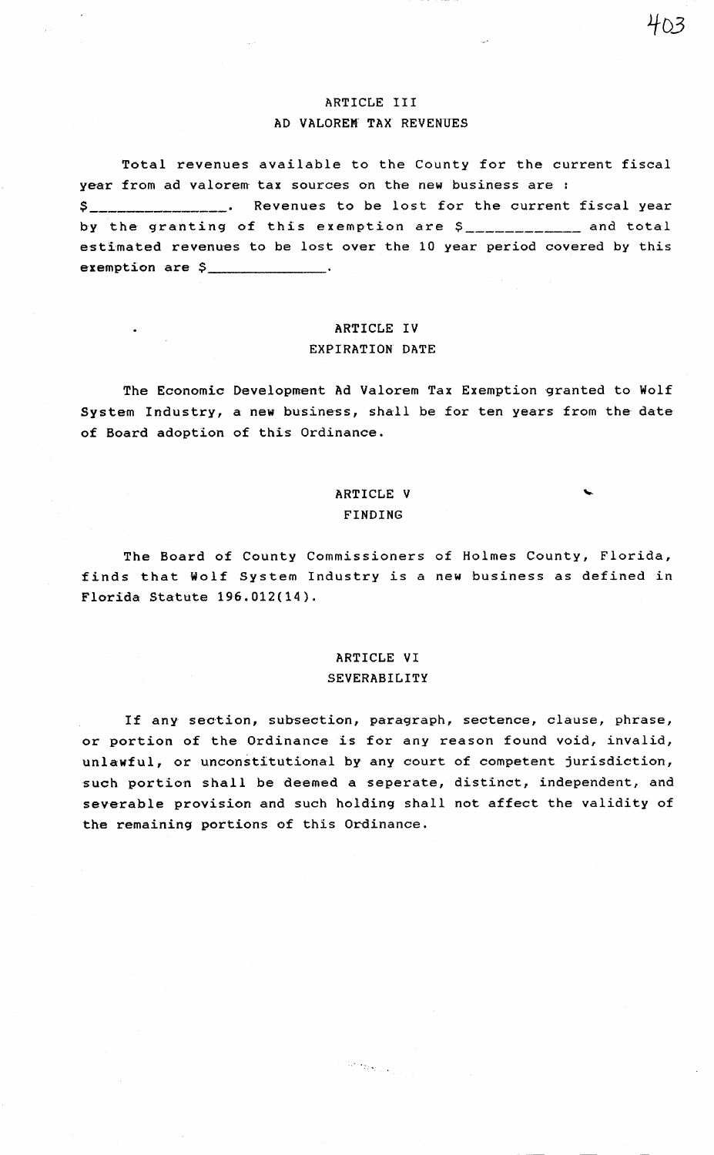## ARTICLE III AD VALOREM. TAX REVENUES

Total revenues available to the County for the current fiscal year from ad valorem tax sources on the new business are : \$ \_\_\_\_\_\_\_\_\_\_\_\_\_\_ . Revenues to be lost for the current fiscal year by the granting of this exemption are *\$ \_\_\_\_\_\_\_\_\_\_\_* and total estimated revenues to be lost over the 10 year period covered by this exemption are  $\sim$ 

# ARTICLE IV EXPIRATION DATE

The Economic Development Ad Valorem Tax Exemption granted to Wolf System Industry, a new business, shall be for ten years from the date of Board adoption of this Ordinance.

## ARTICLE V FINDING

The Board of County Commissioners of Holmes County, Florida, finds that Wolf System Industry is a new business as defined in Florida Statute 196.012(14).

### ARTICLE VI SEVERABILITY

If any section, subsection, paragraph, sectence, clause, phrase, or portion of the Ordinance is for any reason found void, invalid, unlawful, or unconstitutional by any court of competent jurisdiction, such portion shall be deemed a seperate, distinct, independent, and severable provision and such holding shall not affect the validity of the remaining portions of this Ordinance.

We see that  $\mathcal{L}_{\text{max}}$